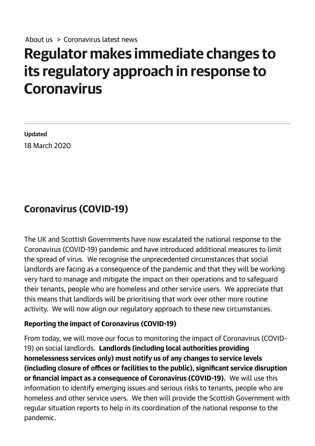## Regulator makes immediate changes to its regulatory approach in response to **Coronavirus**

Updated 18 March 2020

## Coronavirus (COVID-19)

The UK and Scottish Governments have now escalated the national response to the Coronavirus (COVID19) pandemic and have introduced additional measures to limit the spread of virus. We recognise the unprecedented circumstances that social landlords are facing as a consequence of the pandemic and that they will be working very hard to manage and mitigate the impact on their operations and to safeguard their tenants, people who are homeless and other service users. We appreciate that this means that landlords will be prioritising that work over other more routine activity. We will now align our regulatory approach to these new circumstances.

## Reporting the impact of Coronavirus (COVID19)

From today, we will move our focus to monitoring the impact of Coronavirus (COVID-19) on social landlords. Landlords (including local authorities providing homelessness services only) must notify us of any changes to service levels (including closure of offices or facilities to the public), significant service disruption or financial impact as a consequence of Coronavirus (COVID-19). We will use this information to identify emerging issues and serious risks to tenants, people who are homeless and other service users. We then will provide the Scottish Government with regular situation reports to help in its coordination of the national response to the pandemic.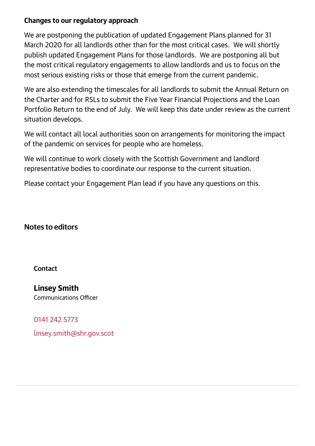## Changes to our regulatory approach

We are postponing the publication of updated Engagement Plans planned for 31 March 2020 for all landlords other than for the most critical cases. We will shortly publish updated Engagement Plans for those landlords. We are postponing all but the most critical regulatory engagements to allow landlords and us to focus on the most serious existing risks or those that emerge from the current pandemic.

We are also extending the timescales for all landlords to submit the Annual Return on the Charter and for RSLs to submit the Five Year Financial Projections and the Loan Portfolio Return to the end of July. We will keep this date under review as the current situation develops.

We will contact all local authorities soon on arrangements for monitoring the impact of the pandemic on services for people who are homeless.

We will continue to work closely with the Scottish Government and landlord representative bodies to coordinate our response to the current situation.

Please contact your Engagement Plan lead if you have any questions on this.

Notes to editors

**Contact** 

Linsey Smith Communications Officer

0141 242 [5773](tel:0141 242 5773) [linsey.smith@shr.gov.scot](mailto:linsey.smith@shr.gov.scot)